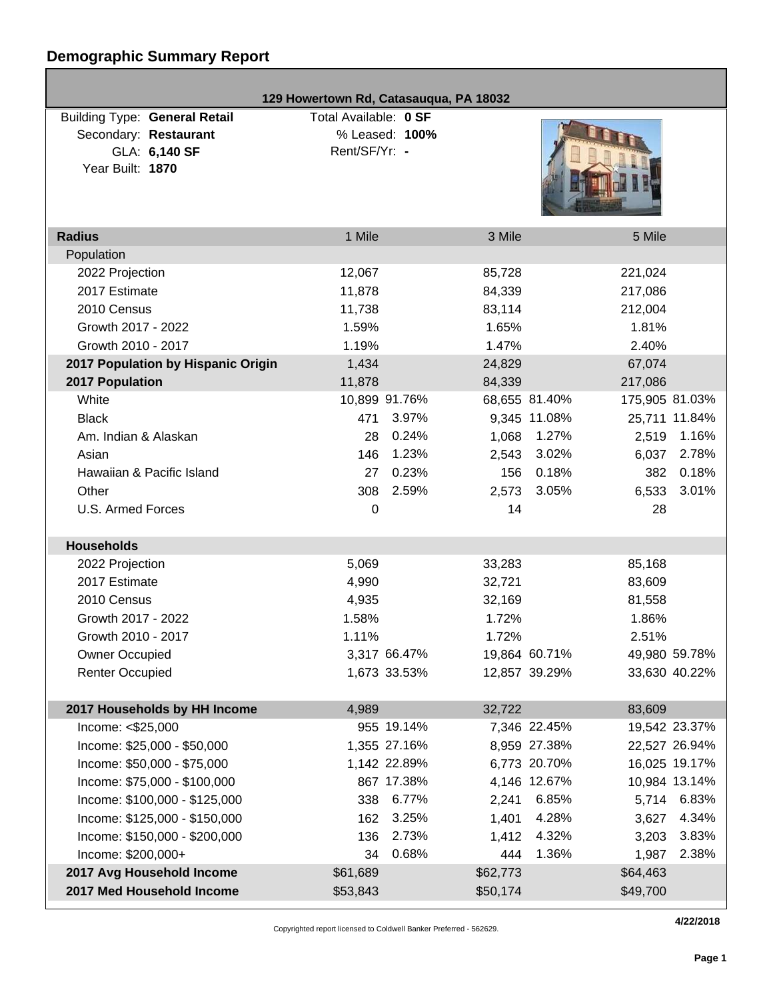# **Demographic Summary Report**

|                                                                                                    | 129 Howertown Rd, Catasauqua, PA 18032                   |                                  |  |
|----------------------------------------------------------------------------------------------------|----------------------------------------------------------|----------------------------------|--|
| <b>Building Type: General Retail</b><br>Secondary: Restaurant<br>GLA: 6,140 SF<br>Year Built: 1870 | Total Available: 0 SF<br>% Leased: 100%<br>Rent/SF/Yr: - |                                  |  |
| <b>Radius</b>                                                                                      | 1 Mile                                                   | 3 Mile<br>5 Mile                 |  |
| Population                                                                                         |                                                          |                                  |  |
| 2022 Projection                                                                                    | 12,067                                                   | 85,728<br>221,024                |  |
| 2017 Estimate                                                                                      | 11,878                                                   | 84,339<br>217,086                |  |
| 2010 Census                                                                                        | 11,738                                                   | 83,114<br>212,004                |  |
| Growth 2017 - 2022                                                                                 | 1.59%                                                    | 1.65%<br>1.81%                   |  |
| Growth 2010 - 2017                                                                                 | 1.19%                                                    | 1.47%<br>2.40%                   |  |
| 2017 Population by Hispanic Origin                                                                 | 1,434                                                    | 24,829<br>67,074                 |  |
| 2017 Population                                                                                    | 11,878                                                   | 84,339<br>217,086                |  |
| White                                                                                              | 10,899 91.76%                                            | 68,655 81.40%<br>175,905 81.03%  |  |
| <b>Black</b>                                                                                       | 471<br>3.97%                                             | 9,345 11.08%<br>25,711 11.84%    |  |
| Am. Indian & Alaskan                                                                               | 0.24%<br>28                                              | 1.27%<br>1.16%<br>1,068<br>2,519 |  |
| Asian                                                                                              | 1.23%<br>146                                             | 3.02%<br>2.78%<br>2,543<br>6,037 |  |
| Hawaiian & Pacific Island                                                                          | 0.23%<br>27                                              | 0.18%<br>0.18%<br>156<br>382     |  |
| Other                                                                                              | 2.59%<br>308                                             | 3.01%<br>2,573<br>3.05%<br>6,533 |  |
| U.S. Armed Forces                                                                                  | 0                                                        | 14<br>28                         |  |
| <b>Households</b>                                                                                  |                                                          |                                  |  |
| 2022 Projection                                                                                    | 5,069                                                    | 33,283<br>85,168                 |  |
| 2017 Estimate                                                                                      | 4,990                                                    | 32,721<br>83,609                 |  |
| 2010 Census                                                                                        | 4,935                                                    | 32,169<br>81,558                 |  |
| Growth 2017 - 2022                                                                                 | 1.58%                                                    | 1.72%<br>1.86%                   |  |
| Growth 2010 - 2017                                                                                 | 1.11%                                                    | 1.72%<br>2.51%                   |  |
| <b>Owner Occupied</b>                                                                              | 3,317 66.47%                                             | 19,864 60.71%<br>49,980 59.78%   |  |
| <b>Renter Occupied</b>                                                                             | 1,673 33.53%                                             | 12,857 39.29%<br>33,630 40.22%   |  |
|                                                                                                    |                                                          |                                  |  |
| 2017 Households by HH Income                                                                       | 4,989                                                    | 83,609<br>32,722                 |  |
| Income: <\$25,000                                                                                  | 955 19.14%                                               | 7,346 22.45%<br>19,542 23.37%    |  |
| Income: \$25,000 - \$50,000                                                                        | 1,355 27.16%                                             | 8,959 27.38%<br>22,527 26.94%    |  |
| Income: \$50,000 - \$75,000                                                                        | 1,142 22.89%                                             | 6,773 20.70%<br>16,025 19.17%    |  |
| Income: \$75,000 - \$100,000                                                                       | 867 17.38%                                               | 4,146 12.67%<br>10,984 13.14%    |  |
| Income: \$100,000 - \$125,000                                                                      | 6.77%<br>338                                             | 6.85%<br>5,714 6.83%<br>2,241    |  |
| Income: \$125,000 - \$150,000                                                                      | 3.25%<br>162                                             | 4.28%<br>4.34%<br>1,401<br>3,627 |  |
| Income: \$150,000 - \$200,000                                                                      | 2.73%<br>136                                             | 4.32%<br>3.83%<br>1,412<br>3,203 |  |
| Income: \$200,000+                                                                                 | 0.68%<br>34                                              | 1.36%<br>2.38%<br>444<br>1,987   |  |
| 2017 Avg Household Income                                                                          | \$61,689                                                 | \$64,463<br>\$62,773             |  |
| 2017 Med Household Income                                                                          | \$53,843                                                 | \$49,700<br>\$50,174             |  |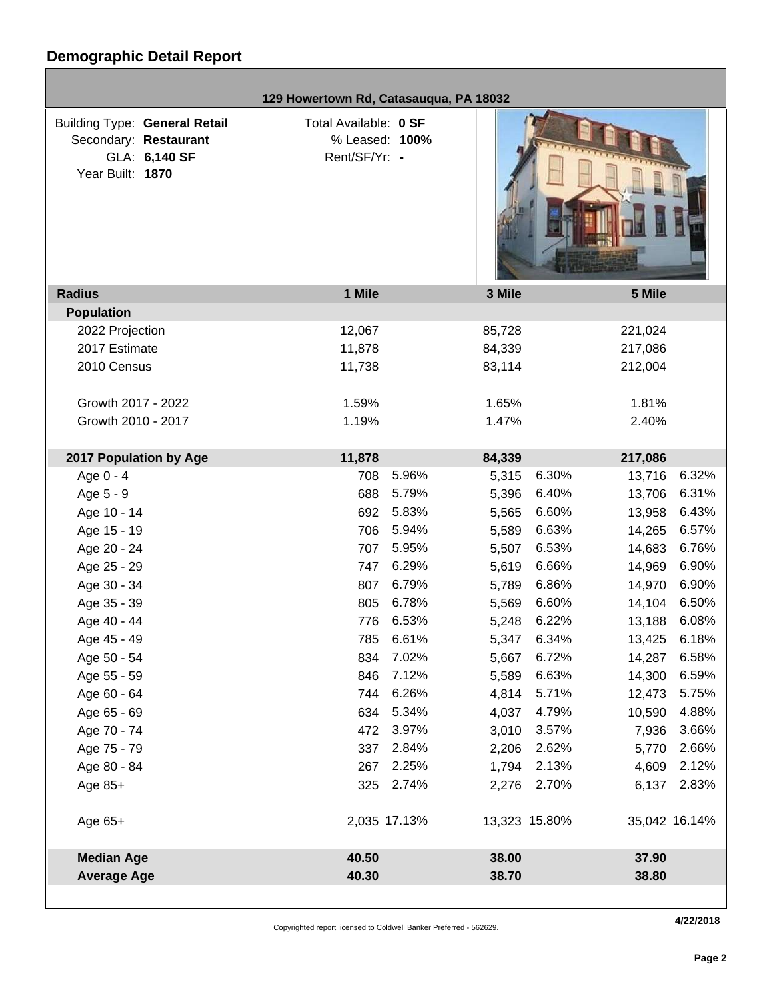г

|                                                                                                    | 129 Howertown Rd, Catasauqua, PA 18032                   |                |                                |
|----------------------------------------------------------------------------------------------------|----------------------------------------------------------|----------------|--------------------------------|
| <b>Building Type: General Retail</b><br>Secondary: Restaurant<br>GLA: 6,140 SF<br>Year Built: 1870 | Total Available: 0 SF<br>% Leased: 100%<br>Rent/SF/Yr: - |                |                                |
| <b>Radius</b>                                                                                      | 1 Mile                                                   | 3 Mile         | 5 Mile                         |
| <b>Population</b>                                                                                  |                                                          |                |                                |
| 2022 Projection                                                                                    | 12,067                                                   | 85,728         | 221,024                        |
| 2017 Estimate                                                                                      | 11,878                                                   | 84,339         | 217,086                        |
| 2010 Census                                                                                        | 11,738                                                   | 83,114         | 212,004                        |
| Growth 2017 - 2022                                                                                 | 1.59%                                                    | 1.65%          | 1.81%                          |
| Growth 2010 - 2017                                                                                 | 1.19%                                                    | 1.47%          | 2.40%                          |
| 2017 Population by Age                                                                             | 11,878                                                   | 84,339         | 217,086                        |
| Age 0 - 4                                                                                          | 708                                                      | 5.96%<br>5,315 | 6.30%<br>6.32%<br>13,716       |
| Age 5 - 9                                                                                          | 688                                                      | 5.79%<br>5,396 | 6.40%<br>6.31%<br>13,706       |
| Age 10 - 14                                                                                        | 692                                                      | 5.83%<br>5,565 | 6.60%<br>6.43%<br>13,958       |
| Age 15 - 19                                                                                        | 706                                                      | 5.94%<br>5,589 | 6.63%<br>6.57%<br>14,265       |
| Age 20 - 24                                                                                        | 707                                                      | 5.95%<br>5,507 | 6.53%<br>6.76%<br>14,683       |
| Age 25 - 29                                                                                        | 747                                                      | 6.29%<br>5,619 | 6.66%<br>6.90%<br>14,969       |
| Age 30 - 34                                                                                        | 807                                                      | 6.79%<br>5,789 | 6.86%<br>6.90%<br>14,970       |
| Age 35 - 39                                                                                        | 805                                                      | 6.78%<br>5,569 | 6.60%<br>14,104<br>6.50%       |
| Age 40 - 44                                                                                        | 776                                                      | 6.53%<br>5,248 | 6.22%<br>6.08%<br>13,188       |
| Age 45 - 49                                                                                        | 785                                                      | 6.61%<br>5,347 | 6.34%<br>6.18%<br>13,425       |
| Age 50 - 54                                                                                        | 834                                                      | 7.02%<br>5,667 | 6.72%<br>6.58%<br>14,287       |
| Age 55 - 59                                                                                        | 846                                                      | 7.12%<br>5,589 | 6.63%<br>6.59%<br>14,300       |
| Age 60 - 64                                                                                        | 744                                                      | 6.26%<br>4,814 | 5.71%<br>5.75%<br>12,473       |
| Age 65 - 69                                                                                        | 634                                                      | 5.34%<br>4,037 | 4.79%<br>4.88%<br>10,590       |
| Age 70 - 74                                                                                        | 472                                                      | 3.97%<br>3,010 | 3.66%<br>3.57%<br>7,936        |
| Age 75 - 79                                                                                        | 337                                                      | 2.84%<br>2,206 | 2.62%<br>5,770<br>2.66%        |
| Age 80 - 84                                                                                        | 267                                                      | 2.25%<br>1,794 | 2.13%<br>2.12%<br>4,609        |
| Age $85+$                                                                                          | 325                                                      | 2.74%<br>2,276 | 2.70%<br>2.83%<br>6,137        |
| Age 65+                                                                                            | 2,035 17.13%                                             |                | 13,323 15.80%<br>35,042 16.14% |
| <b>Median Age</b>                                                                                  | 40.50                                                    | 38.00          | 37.90                          |
| <b>Average Age</b>                                                                                 | 40.30                                                    | 38.70          | 38.80                          |
|                                                                                                    |                                                          |                |                                |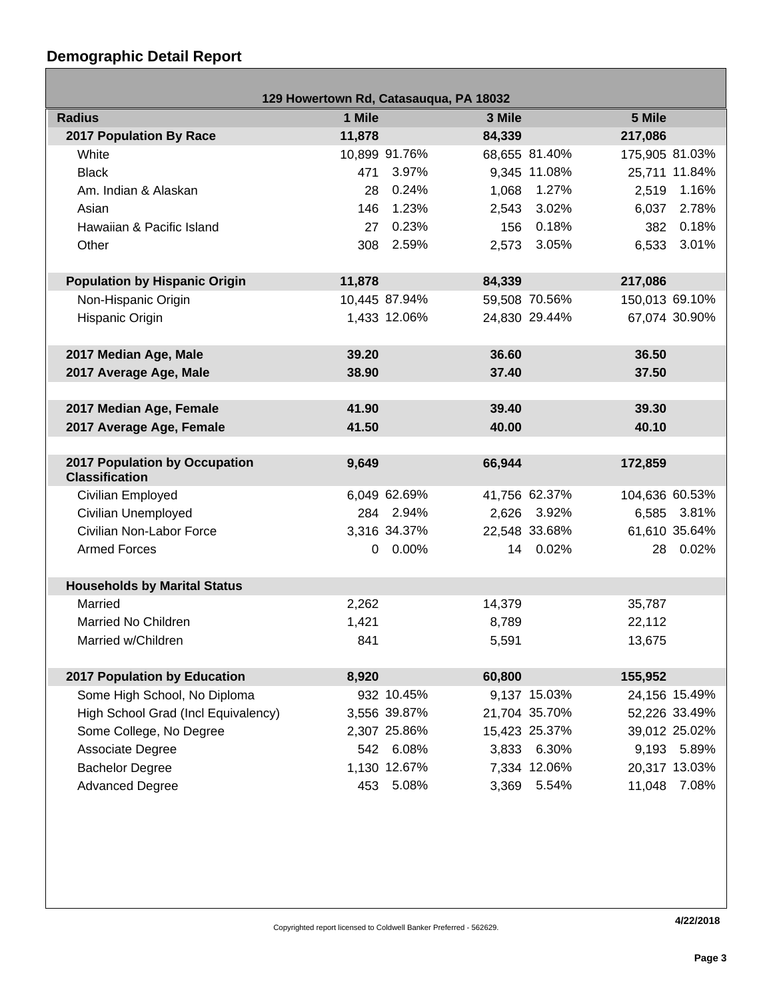## **Demographic Detail Report**

г

| 129 Howertown Rd, Catasauqua, PA 18032 |        |               |        |               |                |               |
|----------------------------------------|--------|---------------|--------|---------------|----------------|---------------|
| <b>Radius</b>                          | 1 Mile |               | 3 Mile |               | 5 Mile         |               |
| 2017 Population By Race                | 11,878 |               | 84,339 |               | 217,086        |               |
| White                                  |        | 10,899 91.76% |        | 68,655 81.40% | 175,905 81.03% |               |
| <b>Black</b>                           | 471    | 3.97%         |        | 9,345 11.08%  |                | 25,711 11.84% |
| Am. Indian & Alaskan                   | 28     | 0.24%         | 1,068  | 1.27%         |                | 2,519 1.16%   |
| Asian                                  | 146    | 1.23%         | 2,543  | 3.02%         | 6,037          | 2.78%         |
| Hawaiian & Pacific Island              | 27     | 0.23%         | 156    | 0.18%         |                | 382 0.18%     |
| Other                                  |        | 308 2.59%     |        | 2,573 3.05%   |                | 6,533 3.01%   |
|                                        |        |               |        |               |                |               |
| <b>Population by Hispanic Origin</b>   | 11,878 |               | 84,339 |               | 217,086        |               |
| Non-Hispanic Origin                    |        | 10,445 87.94% |        | 59,508 70.56% | 150,013 69.10% |               |
| Hispanic Origin                        |        | 1,433 12.06%  |        | 24,830 29.44% |                | 67,074 30.90% |
|                                        |        |               |        |               |                |               |
| 2017 Median Age, Male                  | 39.20  |               | 36.60  |               | 36.50          |               |
| 2017 Average Age, Male                 | 38.90  |               | 37.40  |               | 37.50          |               |
|                                        |        |               |        |               |                |               |
| 2017 Median Age, Female                | 41.90  |               | 39.40  |               | 39.30          |               |
| 2017 Average Age, Female               | 41.50  |               | 40.00  |               | 40.10          |               |
| 2017 Population by Occupation          |        |               |        |               |                |               |
| <b>Classification</b>                  | 9,649  |               | 66,944 |               | 172,859        |               |
| Civilian Employed                      |        | 6,049 62.69%  |        | 41,756 62.37% | 104,636 60.53% |               |
| Civilian Unemployed                    |        | 284 2.94%     |        | 2,626 3.92%   |                | 6,585 3.81%   |
| Civilian Non-Labor Force               |        | 3,316 34.37%  |        | 22,548 33.68% |                | 61,610 35.64% |
| <b>Armed Forces</b>                    |        | $0.00\%$      |        | 14 0.02%      |                | 28 0.02%      |
|                                        |        |               |        |               |                |               |
| <b>Households by Marital Status</b>    |        |               |        |               |                |               |
| Married                                | 2,262  |               | 14,379 |               | 35,787         |               |
| Married No Children                    | 1,421  |               | 8,789  |               | 22,112         |               |
| Married w/Children                     | 841    |               | 5,591  |               | 13,675         |               |
|                                        |        |               |        |               |                |               |
| 2017 Population by Education           | 8,920  |               | 60,800 |               | 155,952        |               |
| Some High School, No Diploma           |        | 932 10.45%    |        | 9,137 15.03%  |                | 24,156 15.49% |
| High School Grad (Incl Equivalency)    |        | 3,556 39.87%  |        | 21,704 35.70% |                | 52,226 33.49% |
| Some College, No Degree                |        | 2,307 25.86%  |        | 15,423 25.37% |                | 39,012 25.02% |
| Associate Degree                       |        | 542 6.08%     |        | 3,833 6.30%   |                | 9,193 5.89%   |
| <b>Bachelor Degree</b>                 |        | 1,130 12.67%  |        | 7,334 12.06%  |                | 20,317 13.03% |
| <b>Advanced Degree</b>                 | 453    | 5.08%         | 3,369  | 5.54%         | 11,048         | 7.08%         |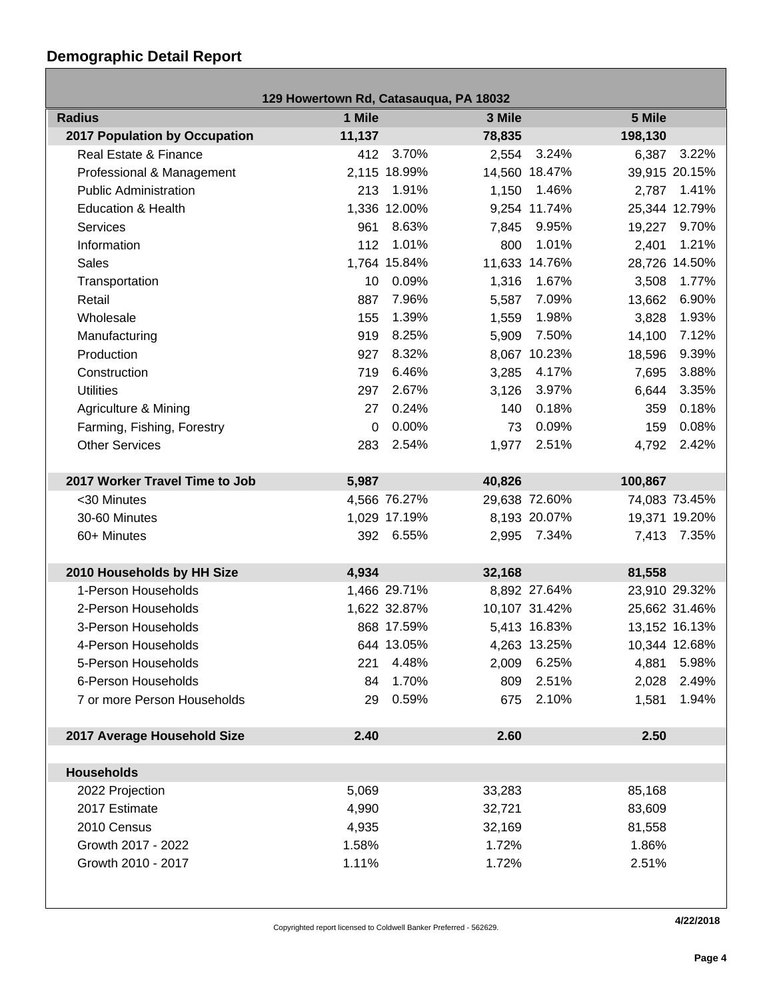## **Demographic Detail Report**

| 129 Howertown Rd, Catasauqua, PA 18032 |          |              |        |               |         |               |
|----------------------------------------|----------|--------------|--------|---------------|---------|---------------|
| <b>Radius</b>                          | 1 Mile   |              | 3 Mile |               | 5 Mile  |               |
| <b>2017 Population by Occupation</b>   | 11,137   |              | 78,835 |               | 198,130 |               |
| Real Estate & Finance                  |          | 412 3.70%    |        | 2,554 3.24%   | 6,387   | 3.22%         |
| Professional & Management              |          | 2,115 18.99% |        | 14,560 18.47% |         | 39,915 20.15% |
| <b>Public Administration</b>           | 213      | 1.91%        | 1,150  | 1.46%         | 2,787   | 1.41%         |
| <b>Education &amp; Health</b>          |          | 1,336 12.00% |        | 9,254 11.74%  |         | 25,344 12.79% |
| <b>Services</b>                        | 961      | 8.63%        | 7,845  | 9.95%         | 19,227  | 9.70%         |
| Information                            | 112      | 1.01%        | 800    | 1.01%         | 2,401   | 1.21%         |
| Sales                                  |          | 1,764 15.84% |        | 11,633 14.76% |         | 28,726 14.50% |
| Transportation                         | 10       | 0.09%        | 1,316  | 1.67%         | 3,508   | 1.77%         |
| Retail                                 | 887      | 7.96%        | 5,587  | 7.09%         | 13,662  | 6.90%         |
| Wholesale                              | 155      | 1.39%        | 1,559  | 1.98%         | 3,828   | 1.93%         |
| Manufacturing                          | 919      | 8.25%        | 5,909  | 7.50%         | 14,100  | 7.12%         |
| Production                             | 927      | 8.32%        |        | 8,067 10.23%  | 18,596  | 9.39%         |
| Construction                           | 719      | 6.46%        | 3,285  | 4.17%         | 7,695   | 3.88%         |
| <b>Utilities</b>                       | 297      | 2.67%        | 3,126  | 3.97%         | 6,644   | 3.35%         |
| Agriculture & Mining                   | 27       | 0.24%        | 140    | 0.18%         | 359     | 0.18%         |
| Farming, Fishing, Forestry             | $\Omega$ | 0.00%        | 73     | 0.09%         | 159     | 0.08%         |
| <b>Other Services</b>                  | 283      | 2.54%        | 1,977  | 2.51%         | 4,792   | 2.42%         |
|                                        |          |              |        |               |         |               |
| 2017 Worker Travel Time to Job         | 5,987    |              | 40,826 |               | 100,867 |               |
| <30 Minutes                            |          | 4,566 76.27% |        | 29,638 72.60% |         | 74,083 73.45% |
| 30-60 Minutes                          |          | 1,029 17.19% |        | 8,193 20.07%  |         | 19,371 19.20% |
| 60+ Minutes                            |          | 392 6.55%    |        | 2,995 7.34%   | 7,413   | 7.35%         |
|                                        |          |              |        |               |         |               |
| 2010 Households by HH Size             | 4,934    |              | 32,168 |               | 81,558  |               |
| 1-Person Households                    |          | 1,466 29.71% |        | 8,892 27.64%  |         | 23,910 29.32% |
| 2-Person Households                    |          | 1,622 32.87% |        | 10,107 31.42% |         | 25,662 31.46% |
| 3-Person Households                    |          | 868 17.59%   |        | 5,413 16.83%  |         | 13,152 16.13% |
| 4-Person Households                    |          | 644 13.05%   |        | 4,263 13.25%  |         | 10,344 12.68% |
| 5-Person Households                    |          | 221 4.48%    |        | 2,009 6.25%   |         | 4,881 5.98%   |
| 6-Person Households                    | 84       | 1.70%        | 809    | 2.51%         | 2,028   | 2.49%         |
| 7 or more Person Households            | 29       | 0.59%        | 675    | 2.10%         | 1,581   | 1.94%         |
|                                        |          |              |        |               |         |               |
| 2017 Average Household Size            | 2.40     |              | 2.60   |               | 2.50    |               |
|                                        |          |              |        |               |         |               |
| <b>Households</b>                      |          |              |        |               |         |               |
| 2022 Projection                        | 5,069    |              | 33,283 |               | 85,168  |               |
| 2017 Estimate                          | 4,990    |              | 32,721 |               | 83,609  |               |
| 2010 Census                            | 4,935    |              | 32,169 |               | 81,558  |               |
| Growth 2017 - 2022                     | 1.58%    |              | 1.72%  |               | 1.86%   |               |
| Growth 2010 - 2017                     | 1.11%    |              | 1.72%  |               | 2.51%   |               |
|                                        |          |              |        |               |         |               |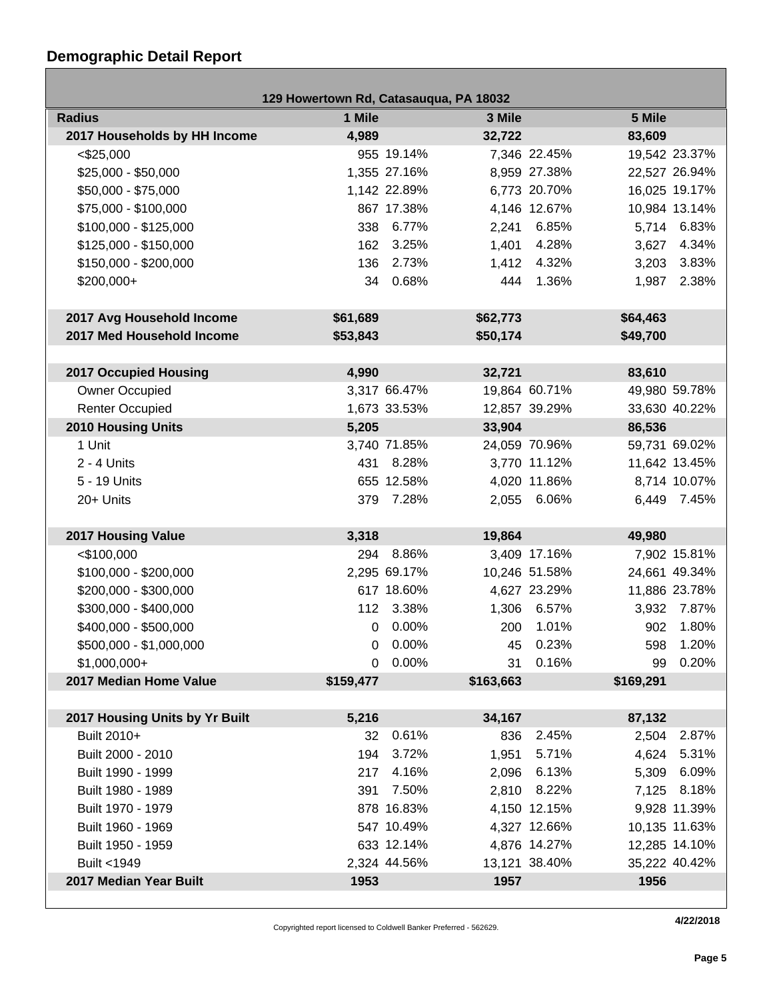## **Demographic Detail Report**

Г

| 129 Howertown Rd, Catasauqua, PA 18032 |           |              |           |               |           |               |
|----------------------------------------|-----------|--------------|-----------|---------------|-----------|---------------|
| <b>Radius</b>                          | 1 Mile    |              | 3 Mile    |               | 5 Mile    |               |
| 2017 Households by HH Income           | 4,989     |              | 32,722    |               | 83,609    |               |
| $<$ \$25,000                           |           | 955 19.14%   |           | 7,346 22.45%  |           | 19,542 23.37% |
| \$25,000 - \$50,000                    |           | 1,355 27.16% |           | 8,959 27.38%  |           | 22,527 26.94% |
| \$50,000 - \$75,000                    |           | 1,142 22.89% |           | 6,773 20.70%  |           | 16,025 19.17% |
| \$75,000 - \$100,000                   |           | 867 17.38%   |           | 4,146 12.67%  |           | 10,984 13.14% |
| $$100,000 - $125,000$                  |           | 338 6.77%    | 2,241     | 6.85%         |           | 5,714 6.83%   |
| \$125,000 - \$150,000                  | 162       | 3.25%        | 1,401     | 4.28%         |           | 3,627 4.34%   |
| \$150,000 - \$200,000                  | 136       | 2.73%        | 1,412     | 4.32%         | 3,203     | 3.83%         |
| \$200,000+                             | 34        | 0.68%        | 444       | 1.36%         |           | 1,987 2.38%   |
|                                        |           |              |           |               |           |               |
| 2017 Avg Household Income              | \$61,689  |              | \$62,773  |               | \$64,463  |               |
| 2017 Med Household Income              | \$53,843  |              | \$50,174  |               | \$49,700  |               |
|                                        |           |              |           |               |           |               |
| <b>2017 Occupied Housing</b>           | 4,990     |              | 32,721    |               | 83,610    |               |
| Owner Occupied                         |           | 3,317 66.47% |           | 19,864 60.71% |           | 49,980 59.78% |
| <b>Renter Occupied</b>                 |           | 1,673 33.53% |           | 12,857 39.29% |           | 33,630 40.22% |
| <b>2010 Housing Units</b>              | 5,205     |              | 33,904    |               | 86,536    |               |
| 1 Unit                                 |           | 3,740 71.85% |           | 24,059 70.96% |           | 59,731 69.02% |
| $2 - 4$ Units                          |           | 431 8.28%    |           | 3,770 11.12%  |           | 11,642 13.45% |
| 5 - 19 Units                           |           | 655 12.58%   |           | 4,020 11.86%  |           | 8,714 10.07%  |
| 20+ Units                              |           | 379 7.28%    |           | 2,055 6.06%   |           | 6,449 7.45%   |
|                                        |           |              |           |               |           |               |
| 2017 Housing Value                     | 3,318     |              | 19,864    |               | 49,980    |               |
| $<$ \$100,000                          | 294       | 8.86%        |           | 3,409 17.16%  |           | 7,902 15.81%  |
| \$100,000 - \$200,000                  |           | 2,295 69.17% |           | 10,246 51.58% |           | 24,661 49.34% |
| \$200,000 - \$300,000                  |           | 617 18.60%   |           | 4,627 23.29%  |           | 11,886 23.78% |
| \$300,000 - \$400,000                  |           | 112 3.38%    |           | 1,306 6.57%   |           | 3,932 7.87%   |
| \$400,000 - \$500,000                  | 0         | $0.00\%$     | 200       | 1.01%         | 902       | 1.80%         |
| \$500,000 - \$1,000,000                |           | $0.00\%$     |           | 45 0.23%      |           | 598 1.20%     |
| $$1,000,000+$                          |           | $0.00\%$     | 31        | 0.16%         |           | 99 0.20%      |
| 2017 Median Home Value                 | \$159,477 |              | \$163,663 |               | \$169,291 |               |
|                                        |           |              |           |               |           |               |
| 2017 Housing Units by Yr Built         | 5,216     |              | 34,167    |               | 87,132    |               |
| Built 2010+                            | 32        | 0.61%        | 836       | 2.45%         |           | 2,504 2.87%   |
| Built 2000 - 2010                      | 194       | 3.72%        | 1,951     | 5.71%         | 4,624     | 5.31%         |
| Built 1990 - 1999                      | 217       | 4.16%        | 2,096     | 6.13%         | 5,309     | 6.09%         |
| Built 1980 - 1989                      | 391       | 7.50%        |           | 2,810 8.22%   |           | 7,125 8.18%   |
| Built 1970 - 1979                      |           | 878 16.83%   |           | 4,150 12.15%  |           | 9,928 11.39%  |
| Built 1960 - 1969                      |           | 547 10.49%   |           | 4,327 12.66%  |           | 10,135 11.63% |
| Built 1950 - 1959                      |           | 633 12.14%   |           | 4,876 14.27%  |           | 12,285 14.10% |
| Built <1949                            |           | 2,324 44.56% |           | 13,121 38.40% |           | 35,222 40.42% |
| 2017 Median Year Built                 | 1953      |              | 1957      |               | 1956      |               |

Copyrighted report licensed to Coldwell Banker Preferred - 562629.

**4/22/2018**

- 1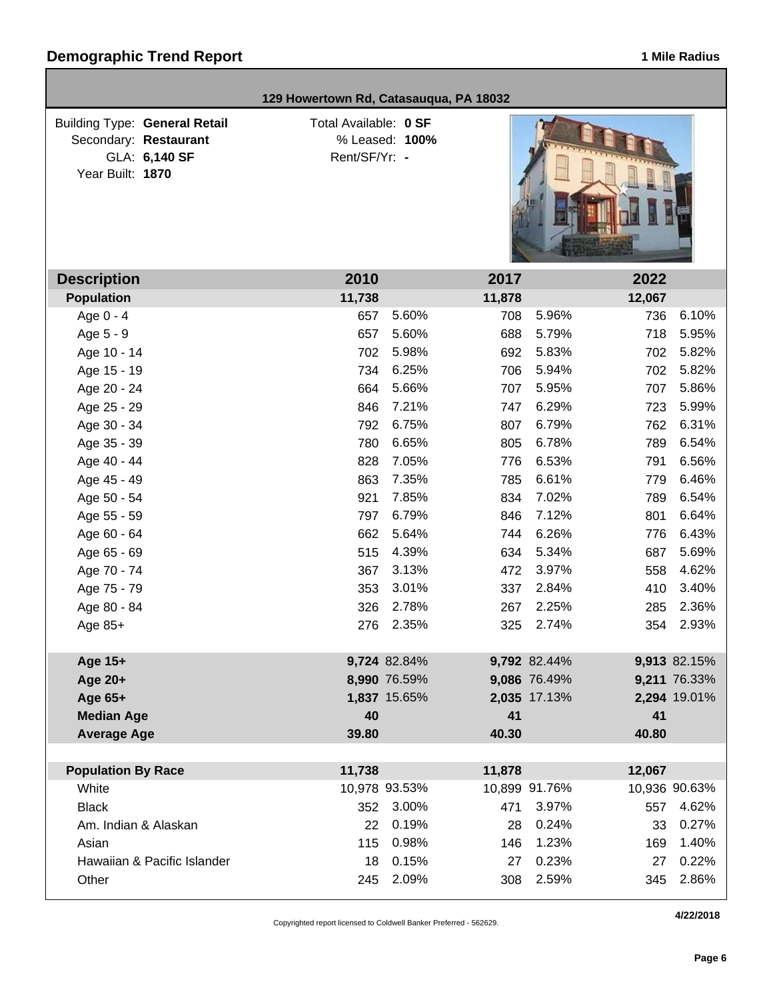| 129 Howertown Rd, Catasauqua, PA 18032                                                             |                                        |                |        |               |        |               |
|----------------------------------------------------------------------------------------------------|----------------------------------------|----------------|--------|---------------|--------|---------------|
| <b>Building Type: General Retail</b><br>Secondary: Restaurant<br>GLA: 6,140 SF<br>Year Built: 1870 | Total Available: 0 SF<br>Rent/SF/Yr: - | % Leased: 100% |        |               |        |               |
| <b>Description</b>                                                                                 | 2010                                   |                | 2017   |               | 2022   |               |
| <b>Population</b>                                                                                  | 11,738                                 |                | 11,878 |               | 12,067 |               |
| Age 0 - 4                                                                                          | 657                                    | 5.60%          | 708    | 5.96%         | 736    | 6.10%         |
| Age 5 - 9                                                                                          | 657                                    | 5.60%          | 688    | 5.79%         | 718    | 5.95%         |
| Age 10 - 14                                                                                        | 702                                    | 5.98%          | 692    | 5.83%         | 702    | 5.82%         |
| Age 15 - 19                                                                                        | 734                                    | 6.25%          | 706    | 5.94%         | 702    | 5.82%         |
| Age 20 - 24                                                                                        | 664                                    | 5.66%          | 707    | 5.95%         | 707    | 5.86%         |
| Age 25 - 29                                                                                        | 846                                    | 7.21%          | 747    | 6.29%         | 723    | 5.99%         |
| Age 30 - 34                                                                                        | 792                                    | 6.75%          | 807    | 6.79%         | 762    | 6.31%         |
| Age 35 - 39                                                                                        | 780                                    | 6.65%          | 805    | 6.78%         | 789    | 6.54%         |
| Age 40 - 44                                                                                        | 828                                    | 7.05%          | 776    | 6.53%         | 791    | 6.56%         |
| Age 45 - 49                                                                                        | 863                                    | 7.35%          | 785    | 6.61%         | 779    | 6.46%         |
| Age 50 - 54                                                                                        | 921                                    | 7.85%          | 834    | 7.02%         | 789    | 6.54%         |
| Age 55 - 59                                                                                        | 797                                    | 6.79%          | 846    | 7.12%         | 801    | 6.64%         |
| Age 60 - 64                                                                                        | 662                                    | 5.64%          | 744    | 6.26%         | 776    | 6.43%         |
| Age 65 - 69                                                                                        | 515                                    | 4.39%          | 634    | 5.34%         | 687    | 5.69%         |
| Age 70 - 74                                                                                        | 367                                    | 3.13%          | 472    | 3.97%         | 558    | 4.62%         |
| Age 75 - 79                                                                                        | 353                                    | 3.01%          | 337    | 2.84%         | 410    | 3.40%         |
| Age 80 - 84                                                                                        | 326                                    | 2.78%          | 267    | 2.25%         | 285    | 2.36%         |
| Age 85+                                                                                            | 276                                    | 2.35%          | 325    | 2.74%         | 354    | 2.93%         |
| Age 15+                                                                                            |                                        | 9,724 82.84%   |        | 9,792 82.44%  |        | 9,913 82.15%  |
| Age 20+                                                                                            |                                        | 8,990 76.59%   |        | 9,086 76.49%  |        | 9,211 76.33%  |
| Age 65+                                                                                            |                                        | 1,837 15.65%   |        | 2,035 17.13%  |        | 2,294 19.01%  |
| <b>Median Age</b>                                                                                  | 40                                     |                | 41     |               | 41     |               |
| <b>Average Age</b>                                                                                 | 39.80                                  |                | 40.30  |               | 40.80  |               |
| <b>Population By Race</b>                                                                          | 11,738                                 |                | 11,878 |               | 12,067 |               |
| White                                                                                              |                                        | 10,978 93.53%  |        | 10,899 91.76% |        | 10,936 90.63% |
| <b>Black</b>                                                                                       | 352                                    | 3.00%          | 471    | 3.97%         | 557    | 4.62%         |
| Am. Indian & Alaskan                                                                               | 22                                     | 0.19%          | 28     | 0.24%         | 33     | 0.27%         |
| Asian                                                                                              | 115                                    | 0.98%          | 146    | 1.23%         |        | 1.40%         |
| Hawaiian & Pacific Islander                                                                        |                                        | 0.15%          |        | 0.23%         | 169    | 0.22%         |
|                                                                                                    | 18                                     | 2.09%          | 27     | 2.59%         | 27     | 2.86%         |
| Other                                                                                              | 245                                    |                | 308    |               | 345    |               |

Copyrighted report licensed to Coldwell Banker Preferred - 562629.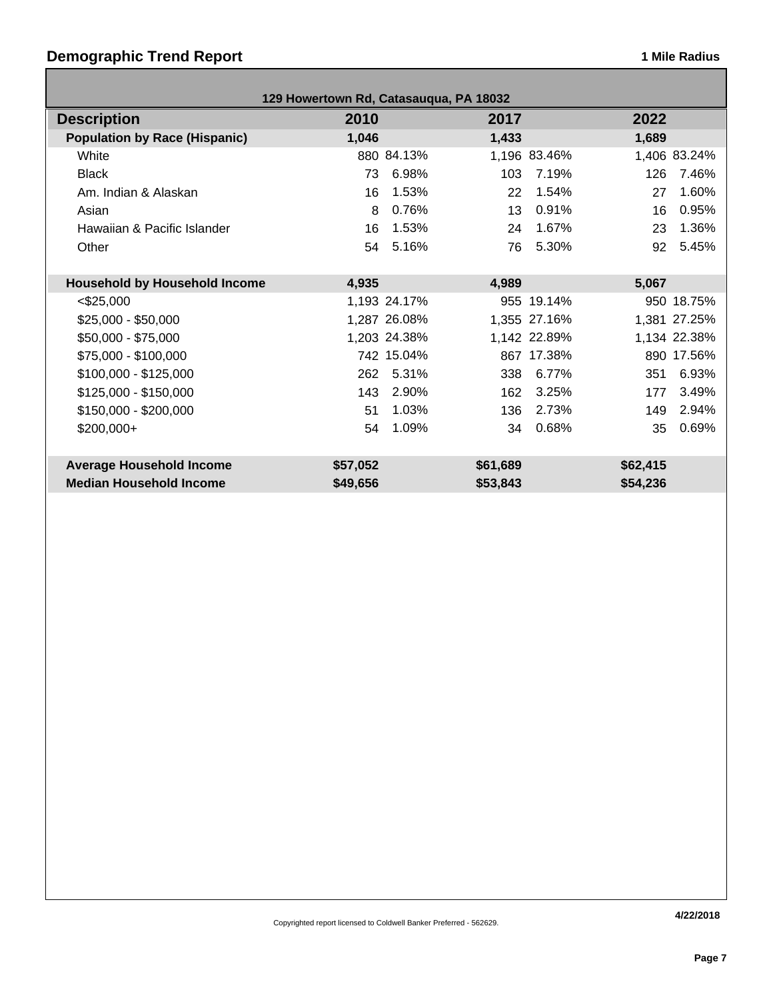## **Demographic Trend Report 1 Mile Radius 1 Mile Radius**

| 129 Howertown Rd, Catasauqua, PA 18032 |          |              |          |              |          |              |
|----------------------------------------|----------|--------------|----------|--------------|----------|--------------|
| <b>Description</b>                     | 2010     |              | 2017     |              | 2022     |              |
| <b>Population by Race (Hispanic)</b>   | 1,046    |              | 1,433    |              | 1,689    |              |
| White                                  |          | 880 84.13%   |          | 1,196 83.46% |          | 1,406 83.24% |
| <b>Black</b>                           | 73       | 6.98%        | 103      | 7.19%        | 126      | 7.46%        |
| Am. Indian & Alaskan                   | 16       | 1.53%        | 22       | 1.54%        | 27       | 1.60%        |
| Asian                                  | 8        | 0.76%        | 13       | 0.91%        | 16       | 0.95%        |
| Hawaiian & Pacific Islander            | 16       | 1.53%        | 24       | 1.67%        | 23       | 1.36%        |
| Other                                  | 54       | 5.16%        | 76       | 5.30%        | 92       | 5.45%        |
|                                        |          |              |          |              |          |              |
| <b>Household by Household Income</b>   | 4,935    |              | 4,989    |              | 5,067    |              |
| $<$ \$25,000                           |          | 1,193 24.17% |          | 955 19.14%   |          | 950 18.75%   |
| $$25,000 - $50,000$                    |          | 1,287 26.08% |          | 1,355 27.16% |          | 1,381 27.25% |
| \$50,000 - \$75,000                    |          | 1,203 24.38% |          | 1,142 22.89% |          | 1,134 22.38% |
| \$75,000 - \$100,000                   |          | 742 15.04%   |          | 867 17.38%   |          | 890 17.56%   |
| $$100,000 - $125,000$                  | 262      | 5.31%        | 338      | 6.77%        | 351      | 6.93%        |
| $$125,000 - $150,000$                  | 143      | 2.90%        | 162      | 3.25%        | 177      | 3.49%        |
| \$150,000 - \$200,000                  | 51       | 1.03%        | 136      | 2.73%        | 149      | 2.94%        |
| \$200,000+                             | 54       | 1.09%        | 34       | 0.68%        | 35       | 0.69%        |
|                                        |          |              |          |              |          |              |
| <b>Average Household Income</b>        | \$57,052 |              | \$61,689 |              | \$62,415 |              |
| <b>Median Household Income</b>         | \$49,656 |              | \$53,843 |              | \$54,236 |              |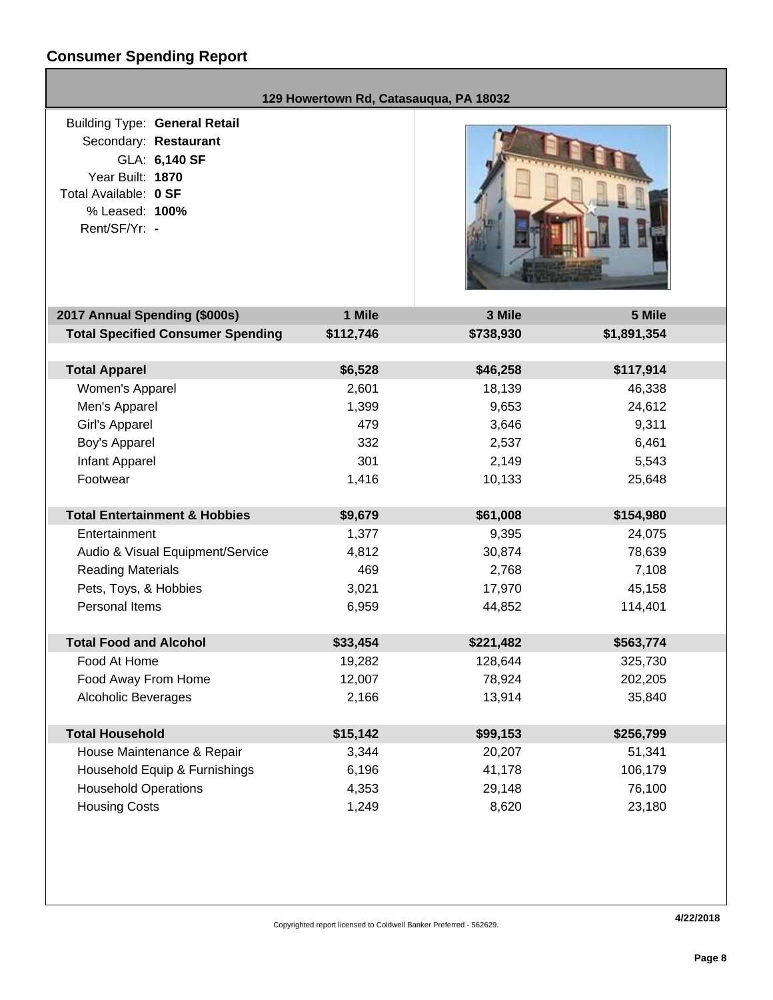# **Consumer Spending Report**

|                                                                                                                                                                | 129 Howertown Rd, Catasauqua, PA 18032 |           |             |
|----------------------------------------------------------------------------------------------------------------------------------------------------------------|----------------------------------------|-----------|-------------|
| <b>Building Type: General Retail</b><br>Secondary: Restaurant<br>GLA: 6,140 SF<br>Year Built: 1870<br>Total Available: 0 SF<br>% Leased: 100%<br>Rent/SF/Yr: - |                                        |           |             |
| 2017 Annual Spending (\$000s)                                                                                                                                  | 1 Mile                                 | 3 Mile    | 5 Mile      |
| <b>Total Specified Consumer Spending</b>                                                                                                                       | \$112,746                              | \$738,930 | \$1,891,354 |
| <b>Total Apparel</b>                                                                                                                                           | \$6,528                                | \$46,258  | \$117,914   |
| Women's Apparel                                                                                                                                                | 2,601                                  | 18,139    | 46,338      |
| Men's Apparel                                                                                                                                                  | 1,399                                  | 9,653     | 24,612      |
| Girl's Apparel                                                                                                                                                 | 479                                    | 3,646     | 9,311       |
| Boy's Apparel                                                                                                                                                  | 332                                    | 2,537     | 6,461       |
| Infant Apparel                                                                                                                                                 | 301                                    | 2,149     | 5,543       |
| Footwear                                                                                                                                                       | 1,416                                  | 10,133    | 25,648      |
| <b>Total Entertainment &amp; Hobbies</b>                                                                                                                       | \$9,679                                | \$61,008  | \$154,980   |
| Entertainment                                                                                                                                                  | 1,377                                  | 9,395     | 24,075      |
| Audio & Visual Equipment/Service                                                                                                                               | 4,812                                  | 30,874    | 78,639      |
| <b>Reading Materials</b>                                                                                                                                       | 469                                    | 2,768     | 7,108       |
| Pets, Toys, & Hobbies                                                                                                                                          | 3,021                                  | 17,970    | 45,158      |
| Personal Items                                                                                                                                                 | 6,959                                  | 44,852    | 114,401     |
| <b>Total Food and Alcohol</b>                                                                                                                                  | \$33,454                               | \$221,482 | \$563,774   |
| Food At Home                                                                                                                                                   | 19,282                                 | 128,644   | 325,730     |
| Food Away From Home                                                                                                                                            | 12,007                                 | 78,924    | 202,205     |
| <b>Alcoholic Beverages</b>                                                                                                                                     | 2,166                                  | 13,914    | 35,840      |
| <b>Total Household</b>                                                                                                                                         | \$15,142                               | \$99,153  | \$256,799   |
| House Maintenance & Repair                                                                                                                                     | 3,344                                  | 20,207    | 51,341      |
| Household Equip & Furnishings                                                                                                                                  | 6,196                                  | 41,178    | 106,179     |
| <b>Household Operations</b>                                                                                                                                    | 4,353                                  | 29,148    | 76,100      |
| <b>Housing Costs</b>                                                                                                                                           | 1,249                                  | 8,620     | 23,180      |
|                                                                                                                                                                |                                        |           |             |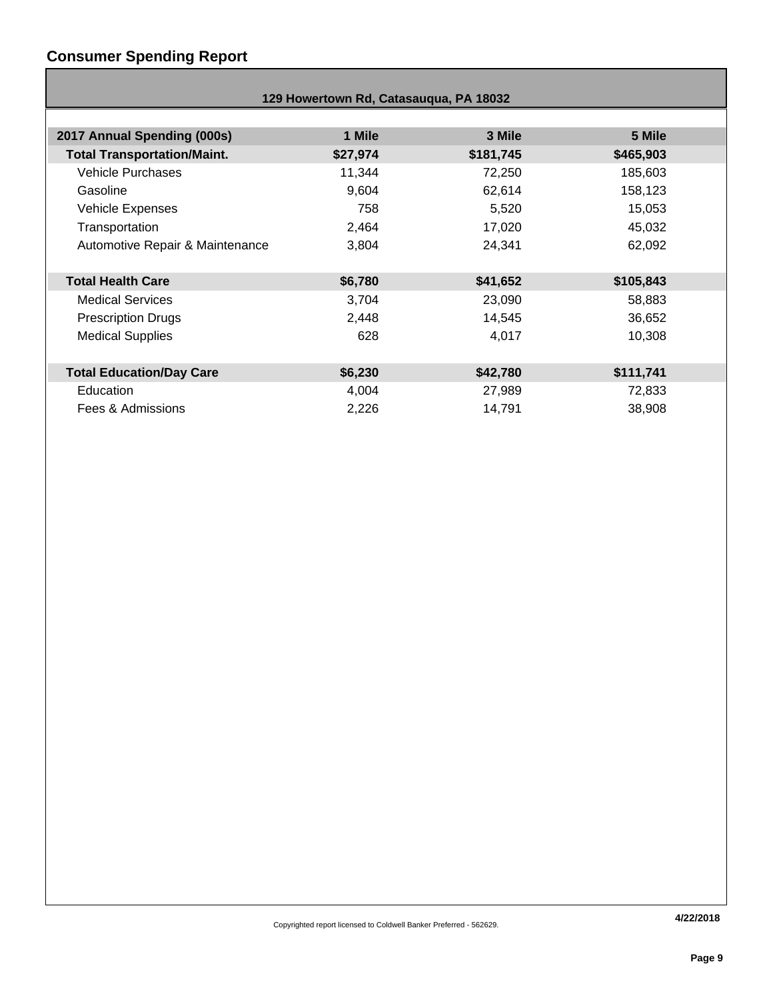## **Consumer Spending Report**

| 129 Howertown Rd, Catasauqua, PA 18032 |          |           |           |  |  |
|----------------------------------------|----------|-----------|-----------|--|--|
|                                        |          |           |           |  |  |
| 2017 Annual Spending (000s)            | 1 Mile   | 3 Mile    | 5 Mile    |  |  |
| <b>Total Transportation/Maint.</b>     | \$27,974 | \$181,745 | \$465,903 |  |  |
| <b>Vehicle Purchases</b>               | 11,344   | 72,250    | 185,603   |  |  |
| Gasoline                               | 9,604    | 62,614    | 158,123   |  |  |
| <b>Vehicle Expenses</b>                | 758      | 5,520     | 15,053    |  |  |
| Transportation                         | 2,464    | 17,020    | 45,032    |  |  |
| Automotive Repair & Maintenance        | 3,804    | 24,341    | 62,092    |  |  |
|                                        |          |           |           |  |  |
| <b>Total Health Care</b>               | \$6,780  | \$41,652  | \$105,843 |  |  |
| <b>Medical Services</b>                | 3,704    | 23,090    | 58,883    |  |  |
| <b>Prescription Drugs</b>              | 2,448    | 14,545    | 36,652    |  |  |
| <b>Medical Supplies</b>                | 628      | 4,017     | 10,308    |  |  |
|                                        |          |           |           |  |  |
| <b>Total Education/Day Care</b>        | \$6,230  | \$42,780  | \$111,741 |  |  |
| Education                              | 4,004    | 27,989    | 72,833    |  |  |
| Fees & Admissions                      | 2,226    | 14,791    | 38,908    |  |  |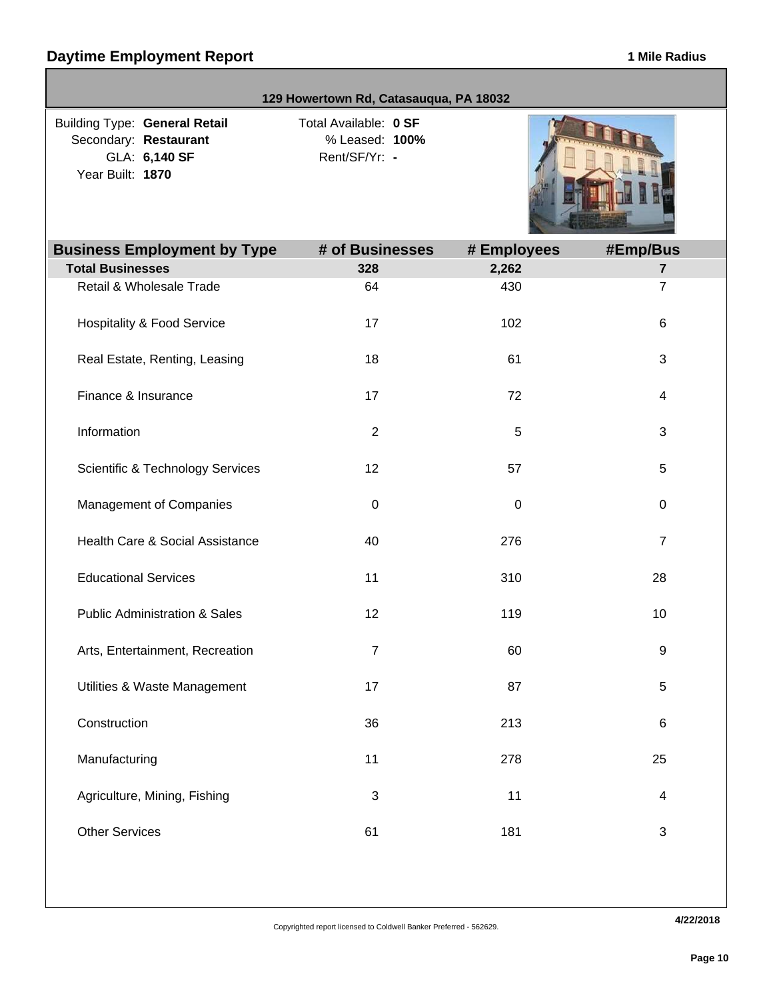|                                                                                                    | 129 Howertown Rd, Catasauqua, PA 18032                   |             |                |  |  |  |
|----------------------------------------------------------------------------------------------------|----------------------------------------------------------|-------------|----------------|--|--|--|
| <b>Building Type: General Retail</b><br>Secondary: Restaurant<br>GLA: 6,140 SF<br>Year Built: 1870 | Total Available: 0 SF<br>% Leased: 100%<br>Rent/SF/Yr: - |             |                |  |  |  |
| <b>Business Employment by Type</b>                                                                 | # of Businesses                                          | # Employees | #Emp/Bus       |  |  |  |
| <b>Total Businesses</b>                                                                            | 328                                                      | 2,262       | $\overline{7}$ |  |  |  |
| Retail & Wholesale Trade                                                                           | 64                                                       | 430         | $\overline{7}$ |  |  |  |
| <b>Hospitality &amp; Food Service</b>                                                              | 17                                                       | 102         | 6              |  |  |  |
| Real Estate, Renting, Leasing                                                                      | 18                                                       | 61          | 3              |  |  |  |
| Finance & Insurance                                                                                | 17                                                       | 72          | 4              |  |  |  |
| Information                                                                                        | $\overline{2}$                                           | 5           | 3              |  |  |  |
| <b>Scientific &amp; Technology Services</b>                                                        | 12                                                       | 57          | 5              |  |  |  |
| Management of Companies                                                                            | $\pmb{0}$                                                | 0           | 0              |  |  |  |
| Health Care & Social Assistance                                                                    | 40                                                       | 276         | $\overline{7}$ |  |  |  |
| <b>Educational Services</b>                                                                        | 11                                                       | 310         | 28             |  |  |  |
| <b>Public Administration &amp; Sales</b>                                                           | 12                                                       | 119         | 10             |  |  |  |
| Arts, Entertainment, Recreation                                                                    | $\mathbf{7}$                                             | 60          | 9              |  |  |  |
| Utilities & Waste Management                                                                       | 17                                                       | 87          | 5              |  |  |  |
| Construction                                                                                       | 36                                                       | 213         | $\,6$          |  |  |  |
| Manufacturing                                                                                      | 11                                                       | 278         | 25             |  |  |  |
| Agriculture, Mining, Fishing                                                                       | 3                                                        | 11          | 4              |  |  |  |
| <b>Other Services</b>                                                                              | 61                                                       | 181         | $\sqrt{3}$     |  |  |  |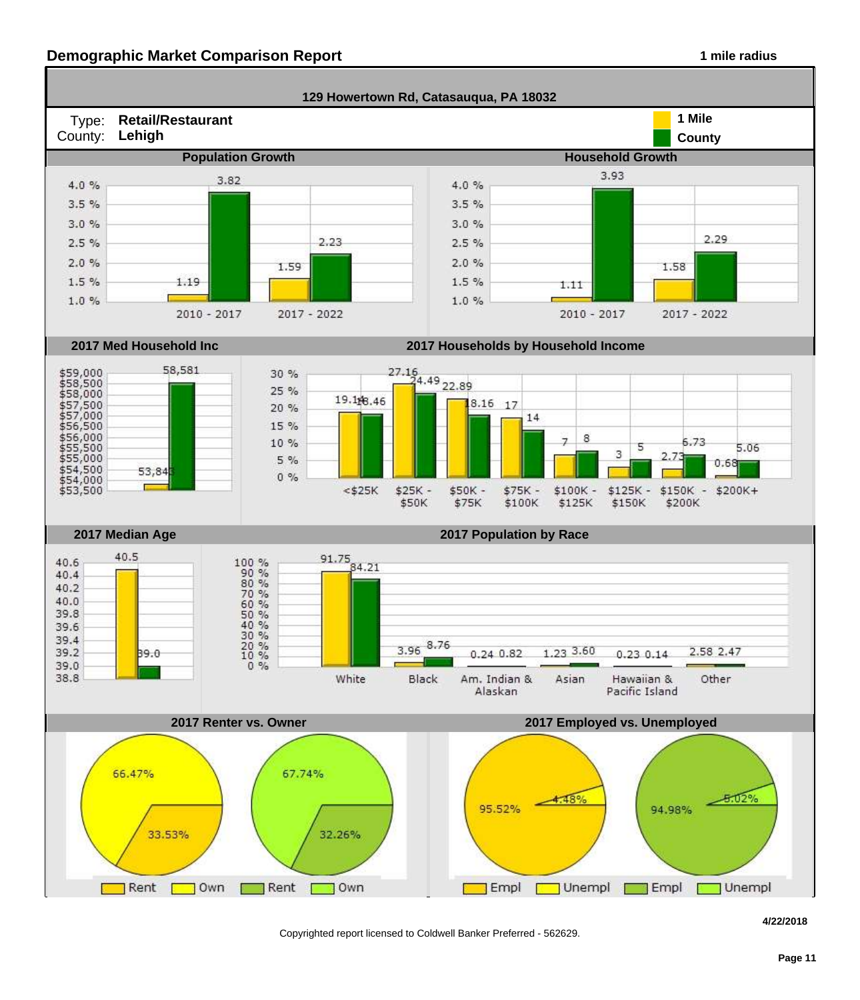#### **Demographic Market Comparison Report 1 mile radius 1 mile radius**



Copyrighted report licensed to Coldwell Banker Preferred - 562629.